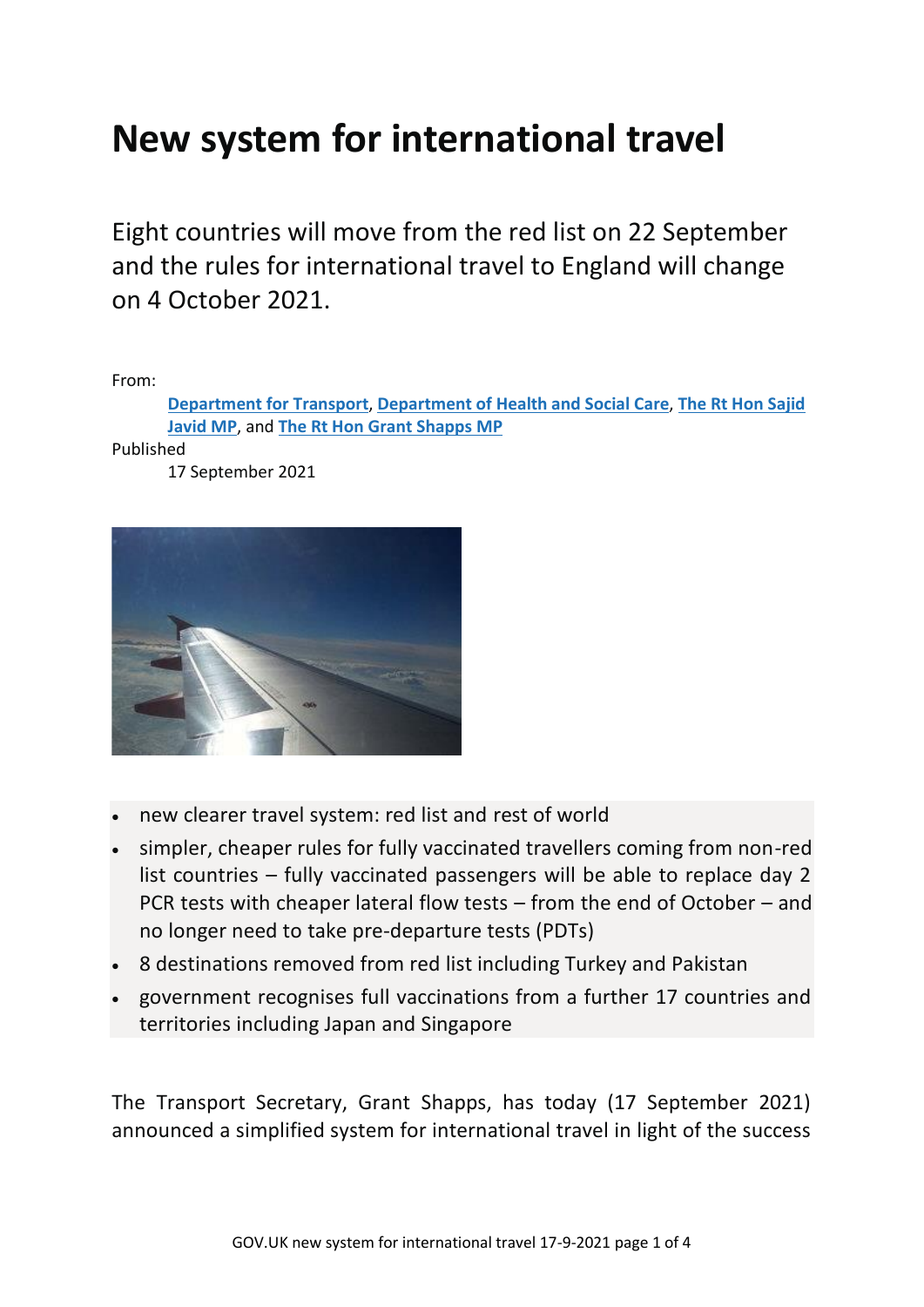## **New system for international travel**

Eight countries will move from the red list on 22 September and the rules for international travel to England will change on 4 October 2021.

From:

**[Department](https://www.gov.uk/government/organisations/department-for-transport) for Transport**, **[Department](https://www.gov.uk/government/organisations/department-of-health-and-social-care) of Health and Social Care**, **The Rt Hon [Sajid](https://www.gov.uk/government/people/sajid-javid) [Javid](https://www.gov.uk/government/people/sajid-javid) MP**, and **The Rt Hon Grant [Shapps](https://www.gov.uk/government/people/grant-shapps) MP**

Published

17 September 2021



- new clearer travel system: red list and rest of world
- simpler, cheaper rules for fully vaccinated travellers coming from non-red list countries – fully vaccinated passengers will be able to replace day 2 PCR tests with cheaper lateral flow tests – from the end of October – and no longer need to take pre-departure tests (PDTs)
- 8 destinations removed from red list including Turkey and Pakistan
- government recognises full vaccinations from a further 17 countries and territories including Japan and Singapore

The Transport Secretary, Grant Shapps, has today (17 September 2021) announced a simplified system for international travel in light of the success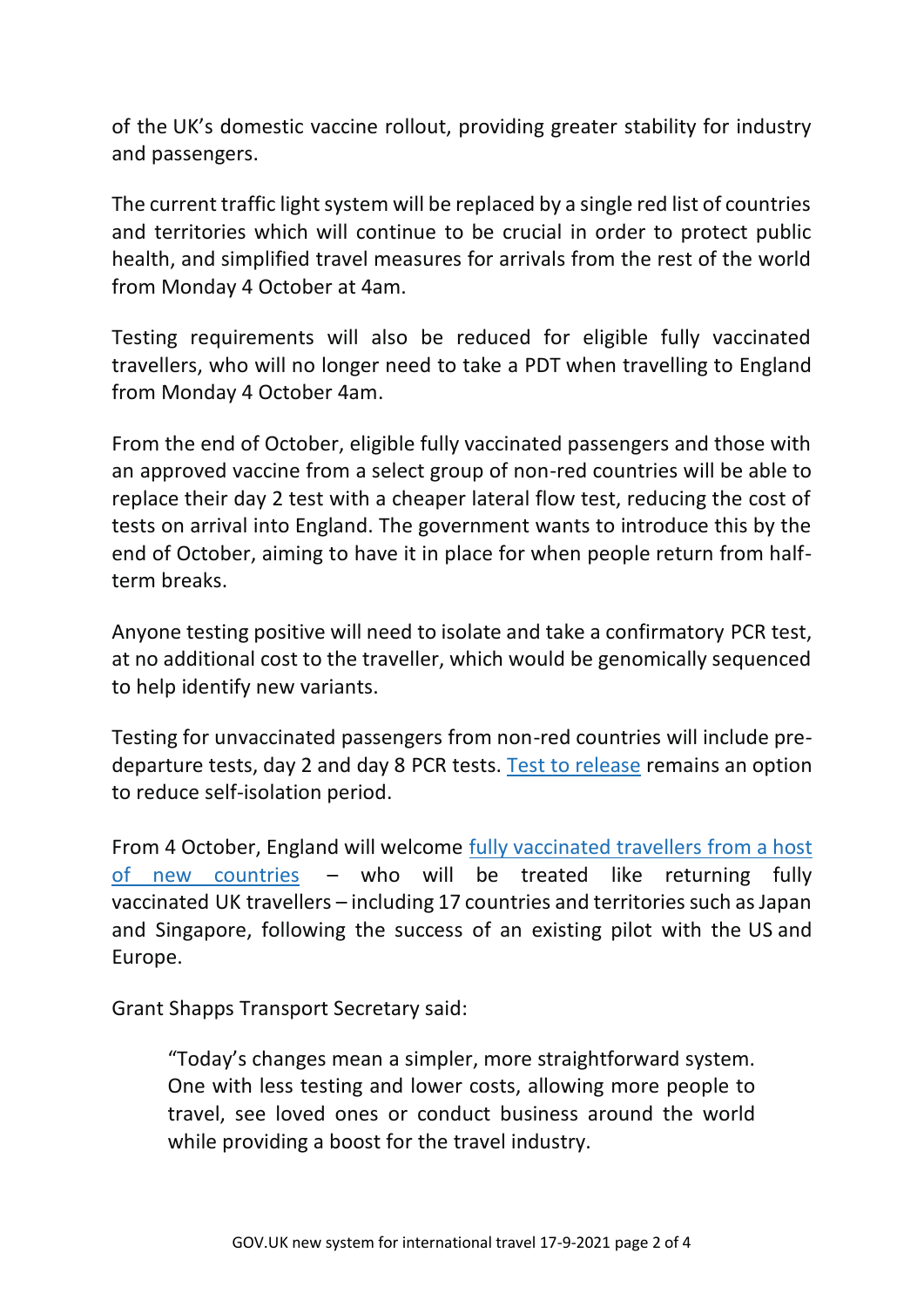of the UK's domestic vaccine rollout, providing greater stability for industry and passengers.

The current traffic light system will be replaced by a single red list of countries and territories which will continue to be crucial in order to protect public health, and simplified travel measures for arrivals from the rest of the world from Monday 4 October at 4am.

Testing requirements will also be reduced for eligible fully vaccinated travellers, who will no longer need to take a PDT when travelling to England from Monday 4 October 4am.

From the end of October, eligible fully vaccinated passengers and those with an approved vaccine from a select group of non-red countries will be able to replace their day 2 test with a cheaper lateral flow test, reducing the cost of tests on arrival into England. The government wants to introduce this by the end of October, aiming to have it in place for when people return from halfterm breaks.

Anyone testing positive will need to isolate and take a confirmatory PCR test, at no additional cost to the traveller, which would be genomically sequenced to help identify new variants.

Testing for unvaccinated passengers from non-red countries will include predeparture tests, day 2 and day 8 PCR tests. Test to [release](https://www.gov.uk/guidance/coronavirus-covid-19-test-to-release-for-international-travel) remains an option to reduce self-isolation period.

From 4 October, England will welcome fully [vaccinated](https://www.gov.uk/guidance/red-amber-and-green-list-rules-for-entering-england#fully-vaccinated) travellers from a host of new [countries](https://www.gov.uk/guidance/red-amber-and-green-list-rules-for-entering-england#fully-vaccinated) – who will be treated like returning fully vaccinated UK travellers – including 17 countries and territories such as Japan and Singapore, following the success of an existing pilot with the US and Europe.

Grant Shapps Transport Secretary said:

"Today's changes mean a simpler, more straightforward system. One with less testing and lower costs, allowing more people to travel, see loved ones or conduct business around the world while providing a boost for the travel industry.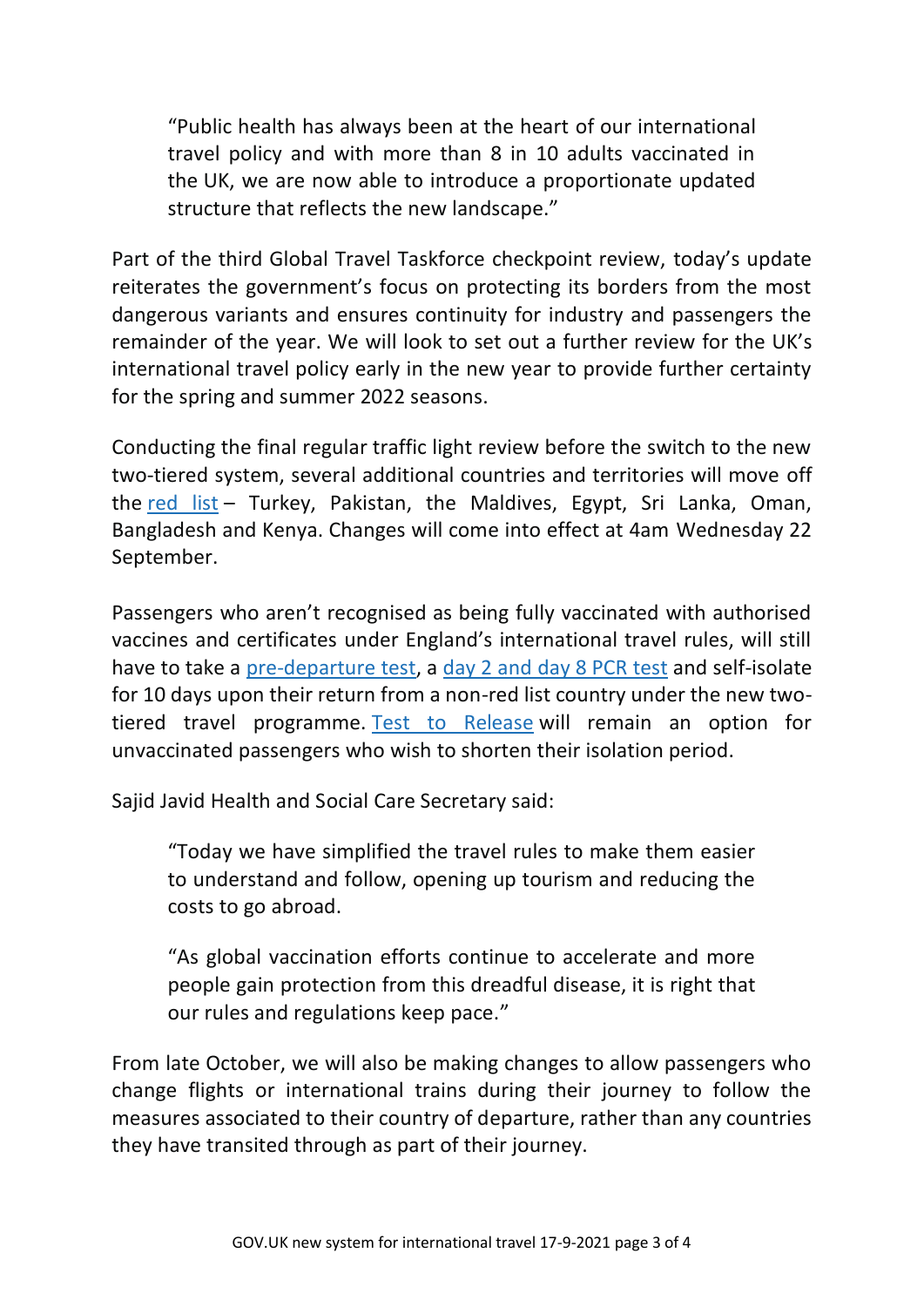"Public health has always been at the heart of our international travel policy and with more than 8 in 10 adults vaccinated in the UK, we are now able to introduce a proportionate updated structure that reflects the new landscape."

Part of the third Global Travel Taskforce checkpoint review, today's update reiterates the government's focus on protecting its borders from the most dangerous variants and ensures continuity for industry and passengers the remainder of the year. We will look to set out a further review for the UK's international travel policy early in the new year to provide further certainty for the spring and summer 2022 seasons.

Conducting the final regular traffic light review before the switch to the new two-tiered system, several additional countries and territories will move off the [red](https://www.gov.uk/guidance/red-amber-and-green-list-rules-for-entering-england#red-list) list - Turkey, Pakistan, the Maldives, Egypt, Sri Lanka, Oman, Bangladesh and Kenya. Changes will come into effect at 4am Wednesday 22 September.

Passengers who aren't recognised as being fully vaccinated with authorised vaccines and certificates under England's international travel rules, will still have to take a [pre-departure](https://www.gov.uk/guidance/coronavirus-covid-19-testing-for-people-travelling-to-england) test, a day 2 and day 8 [PCR](https://www.gov.uk/find-travel-test-provider) test and self-isolate for 10 days upon their return from a non-red list country under the new twotiered travel programme. Test to [Release](https://www.gov.uk/guidance/coronavirus-covid-19-test-to-release-for-international-travel) will remain an option for unvaccinated passengers who wish to shorten their isolation period.

Sajid Javid Health and Social Care Secretary said:

"Today we have simplified the travel rules to make them easier to understand and follow, opening up tourism and reducing the costs to go abroad.

"As global vaccination efforts continue to accelerate and more people gain protection from this dreadful disease, it is right that our rules and regulations keep pace."

From late October, we will also be making changes to allow passengers who change flights or international trains during their journey to follow the measures associated to their country of departure, rather than any countries they have transited through as part of their journey.